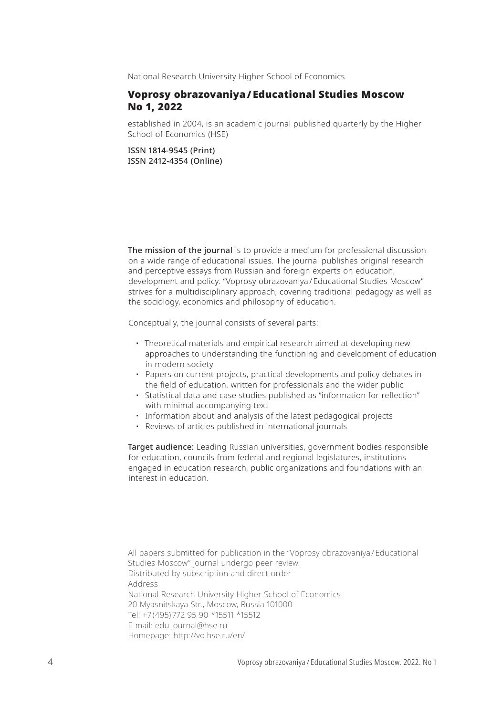National Research University Higher School of Economics

# Voprosy obrazovaniya / Educational Studies Moscow No 1, 2022

established in 2004, is an academic journal published quarterly by the Higher School of Economics (HSE)

ISSN 1814-9545 (Print) ISSN 2412-4354 (Online)

The mission of the journal is to provide a medium for professional discussion on a wide range of educational issues. The journal publishes original research and perceptive essays from Russian and foreign experts on education, development and policy. "Voprosy obrazovaniya / Educational Studies Moscow" strives for a multidisciplinary approach, covering traditional pedagogy as well as the sociology, economics and philosophy of education.

Conceptually, the journal consists of several parts:

- Theoretical materials and empirical research aimed at developing new approaches to understanding the functioning and development of education in modern society
- Papers on current projects, practical developments and policy debates in the field of education, written for professionals and the wider public
- Statistical data and case studies published as "information for reflection" with minimal accompanying text
- Information about and analysis of the latest pedagogical projects
- Reviews of articles published in international journals

Target audience: Leading Russian universities, government bodies responsible for education, councils from federal and regional legislatures, institutions engaged in education research, public organizations and foundations with an interest in education.

All papers submitted for publication in the "Voprosy obrazovaniya / Educational Studies Moscow" journal undergo peer review. Distributed by subscription and direct order Address National Research University Higher School of Economics 20 Myasnitskaya Str., Moscow, Russia 101000 Tel: +7 (495) 772 95 90 \*15511 \*15512 E-mail: edu.journal@hse.ru Homepage: http://vo.hse.ru/en/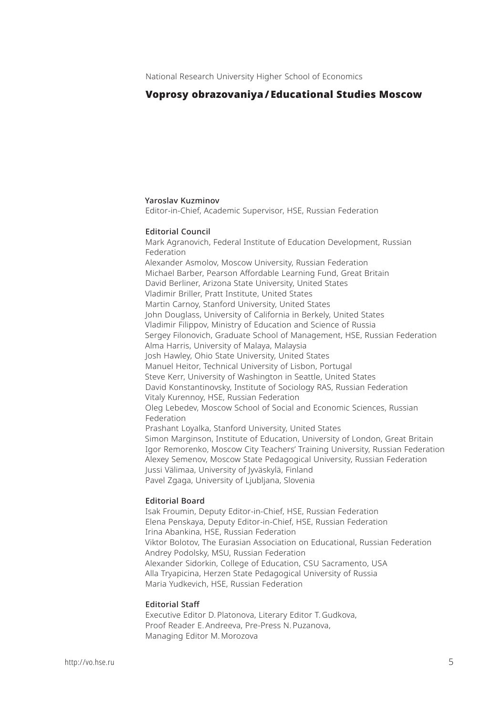# Voprosy obrazovaniya / Educational Studies Moscow

#### Yaroslav Kuzminov

Editor-in-Chief, Academic Supervisor, HSE, Russian Federation

#### Editorial Council

Mark Agranovich, Federal Institute of Education Development, Russian Federation Alexander Asmolov, Moscow University, Russian Federation Michael Barber, Pearson Affordable Learning Fund, Great Britain David Berliner, Arizona State University, United States Vladimir Briller, Pratt Institute, United States Martin Carnoy, Stanford University, United States John Douglass, University of California in Berkely, United States Vladimir Filippov, Ministry of Education and Science of Russia Sergey Filonovich, Graduate School of Management, HSE, Russian Federation Alma Harris, University of Malaya, Malaysia Josh Hawley, Ohio State University, United States Manuel Heitor, Technical University of Lisbon, Portugal Steve Kerr, University of Washington in Seattle, United States David Konstantinovsky, Institute of Sociology RAS, Russian Federation Vitaly Kurennoy, HSE, Russian Federation Oleg Lebedev, Moscow School of Social and Economic Sciences, Russian Federation Prashant Loyalka, Stanford University, United States Simon Marginson, Institute of Education, University of London, Great Britain Igor Remorenko, Moscow City Teachers' Training University, Russian Federation Alexey Semenov, Moscow State Pedagogical University, Russian Federation Jussi Välimaa, University of Jyväskylä, Finland Pavel Zgaga, University of Ljubljana, Slovenia

#### Editorial Board

Isak Froumin, Deputy Editor-in-Chief, HSE, Russian Federation Elena Penskaya, Deputy Editor-in-Chief, HSE, Russian Federation Irina Abankina, HSE, Russian Federation Viktor Bolotov, The Eurasian Association on Educational, Russian Federation Andrey Podolsky, MSU, Russian Federation Alexander Sidorkin, College of Education, CSU Sacramento, USA Alla Tryapicina, Herzen State Pedagogical University of Russia Maria Yudkevich, HSE, Russian Federation

#### Editorial Staff

Executive Editor D. Platonova, Literary Editor T. Gudkova, Proof Reader E. Andreeva, Pre-Press N. Puzanova, Managing Editor M. Morozova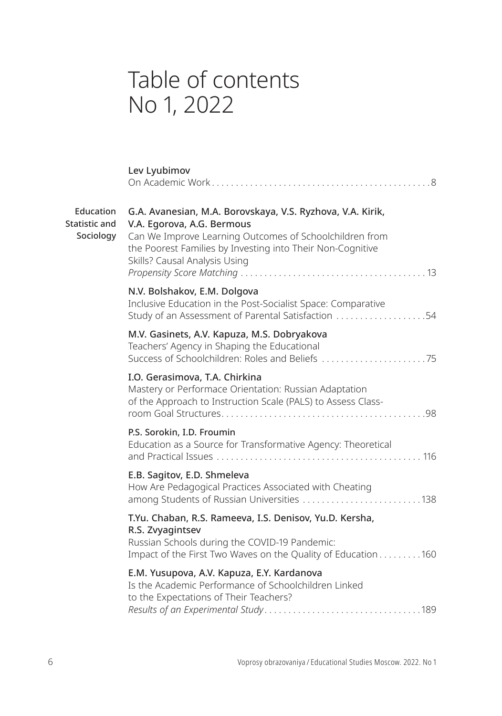# Table of contents No 1, 2022

|                                         | Lev Lyubimov                                                                                                                                                                                                                                       |
|-----------------------------------------|----------------------------------------------------------------------------------------------------------------------------------------------------------------------------------------------------------------------------------------------------|
| Education<br>Statistic and<br>Sociology | G.A. Avanesian, M.A. Borovskaya, V.S. Ryzhova, V.A. Kirik,<br>V.A. Egorova, A.G. Bermous<br>Can We Improve Learning Outcomes of Schoolchildren from<br>the Poorest Families by Investing into Their Non-Cognitive<br>Skills? Causal Analysis Using |
|                                         | N.V. Bolshakov, E.M. Dolgova<br>Inclusive Education in the Post-Socialist Space: Comparative<br>Study of an Assessment of Parental Satisfaction 54                                                                                                 |
|                                         | M.V. Gasinets, A.V. Kapuza, M.S. Dobryakova<br>Teachers' Agency in Shaping the Educational                                                                                                                                                         |
|                                         | I.O. Gerasimova, T.A. Chirkina<br>Mastery or Performace Orientation: Russian Adaptation<br>of the Approach to Instruction Scale (PALS) to Assess Class-                                                                                            |
|                                         | P.S. Sorokin, I.D. Froumin<br>Education as a Source for Transformative Agency: Theoretical                                                                                                                                                         |
|                                         | E.B. Sagitov, E.D. Shmeleva<br>How Are Pedagogical Practices Associated with Cheating<br>among Students of Russian Universities 138                                                                                                                |
|                                         | T.Yu. Chaban, R.S. Rameeva, I.S. Denisov, Yu.D. Kersha,<br>R.S. Zvyagintsev<br>Russian Schools during the COVID-19 Pandemic:<br>Impact of the First Two Waves on the Quality of Education 160                                                      |
|                                         | E.M. Yusupova, A.V. Kapuza, E.Y. Kardanova<br>Is the Academic Performance of Schoolchildren Linked<br>to the Expectations of Their Teachers?                                                                                                       |